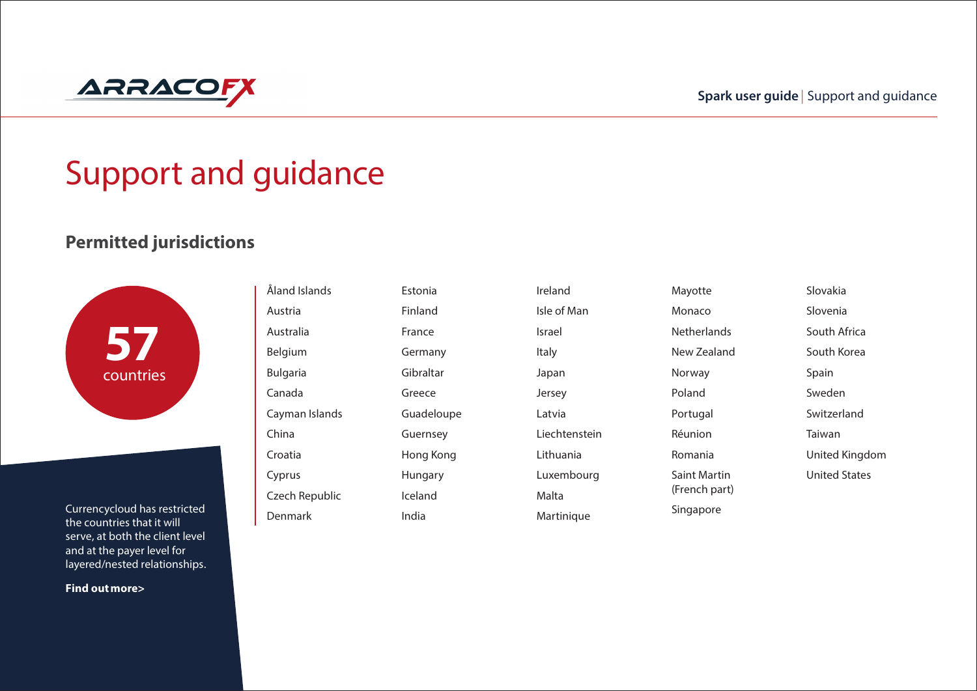

# Support and guidance

### **Permitted jurisdictions**



Currencycloud has restricted the countries that it will serve, at both the client level and at the payer level for layered/nested relationships.

**Find outmore>**

Åland Islands Austria Australia Belgium Bulgaria Canada Cayman Islands China Croatia Cyprus Czech Republic Denmark Estonia Finland France Germany Gibraltar Greece Guadeloupe Guernsey Hong Kong Hungary Iceland India

Ireland Isle of Man Israel Italy Japan Jersey Latvia Liechtenstein Lithuania Luxembourg Malta Martinique

Mayotte Monaco **Netherlands** New Zealand Norway Poland Portugal Réunion Romania Saint Martin (French part) Singapore

Slovenia South Africa South Korea Spain Sweden Switzerland Taiwan United Kingdom United States

Slovakia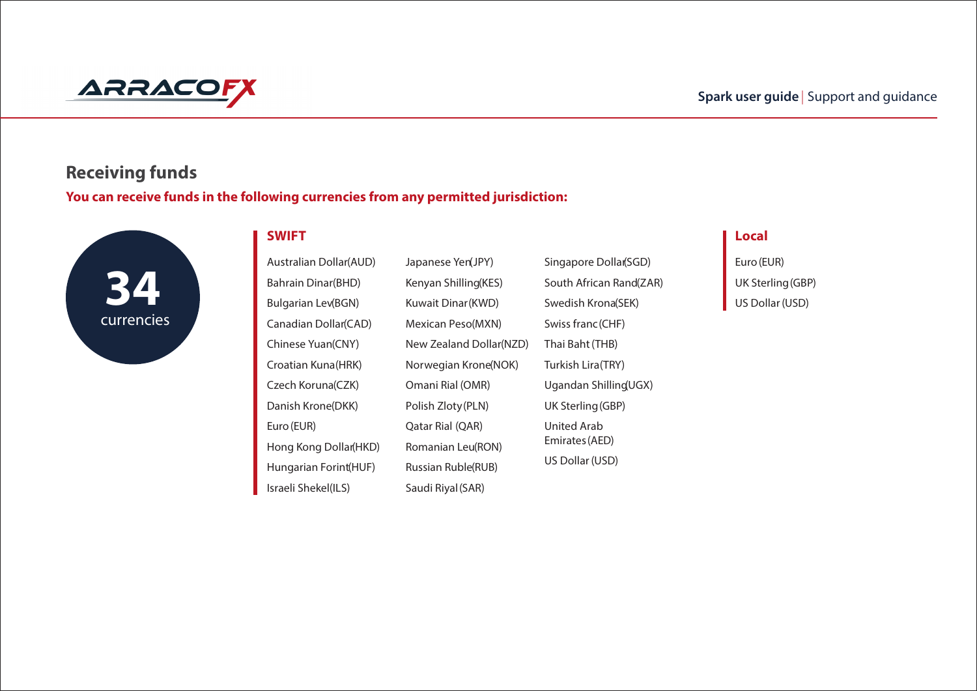

# **Receiving funds**

**You can receive funds in the following currencies from any permitted jurisdiction:**



#### $\blacksquare$  "#"  $\blacksquare$  "#"  $\blacksquare$  "#"  $\blacksquare$  "#"  $\blacksquare$  "#"  $\blacksquare$  "#"  $\blacksquare$  "#"  $\blacksquare$  "#"  $\blacksquare$  "#"  $\blacksquare$  "#"  $\blacksquare$  "#"  $\blacksquare$  "#"  $\blacksquare$  "#"  $\blacksquare$  "#"  $\blacksquare$  "#"  $\blacksquare$  "#"  $\blacksquare$  "#"  $\blacksquare$  "#"  $\blacksquare$  "#"  $\blacksquare$  "#"  $\$

|             | <b>Australian Dollar(AUD)</b> | Japanese Yen(JPY)       | Singapore Dollar(SGD)   | Euro (EUR)       |
|-------------|-------------------------------|-------------------------|-------------------------|------------------|
|             | Bahrain Dinar(BHD)            | Kenyan Shilling(KES)    | South African Rand(ZAR) | UK Sterling (GBI |
|             | Bulgarian Lev(BGN)            | Kuwait Dinar (KWD)      | Swedish Krona(SEK)      | US Dollar (USD)  |
| currencies: | Canadian Dollar(CAD)          | Mexican Peso(MXN)       | Swiss franc (CHF)       |                  |
|             | Chinese Yuan(CNY)             | New Zealand Dollar(NZD) | Thai Baht (THB)         |                  |
|             | Croatian Kuna(HRK)            | Norwegian Krone(NOK)    | Turkish Lira(TRY)       |                  |
|             | Czech Koruna(CZK)             | Omani Rial (OMR)        | Ugandan Shilling UGX)   |                  |
|             | Danish Krone(DKK)             | Polish Zloty (PLN)      | UK Sterling (GBP)       |                  |
|             | Euro (EUR)                    | Qatar Rial (QAR)        | United Arab             |                  |
|             | Hong Kong Dollar(HKD)         | Romanian Leu(RON)       | Emirates (AED)          |                  |
|             | Hungarian Forint(HUF)         | Russian Ruble(RUB)      | US Dollar (USD)         |                  |
|             | Israeli Shekel(ILS)           | Saudi Riyal (SAR)       |                         |                  |

Euro(EUR) UK Sterling(GBP)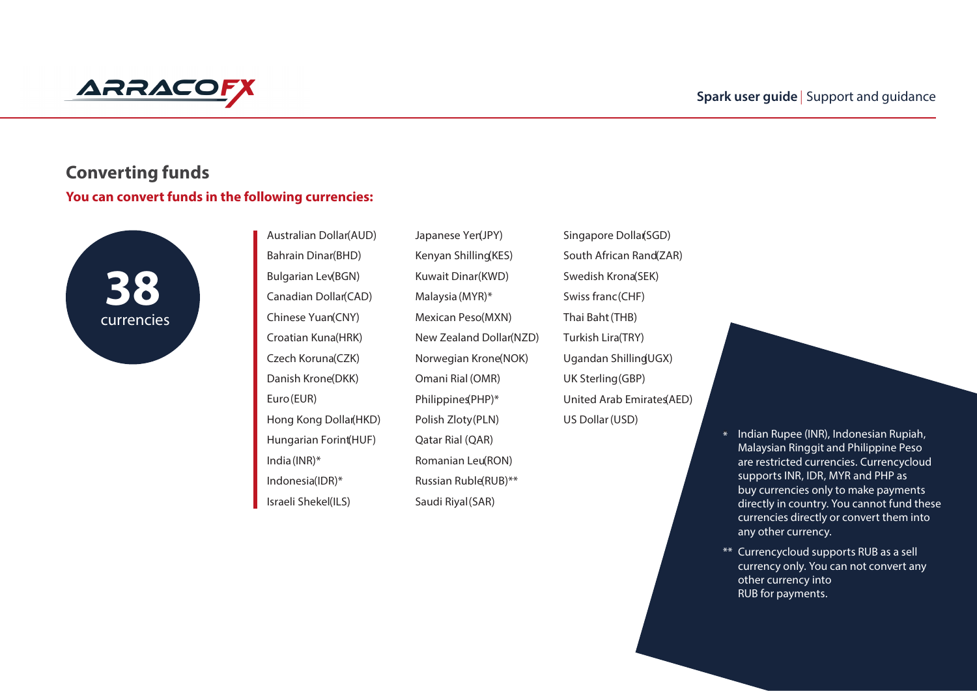

## **Converting funds You can convert funds in the following currencies:**



Australian Dollar(AUD) Bahrain Dinar(BHD) Bulgarian Lev(BGN) Canadian Dollar(CAD) Chinese Yuan(CNY) Croatian Kuna(HRK) Czech Koruna(CZK) Danish Krone(DKK) Euro(EUR) Hong Kong Dollar(HKD) Hungarian Forint(HUF) India(INR)\* Indonesia(IDR)\* Israeli Shekel(ILS)

Japanese Yen(JPY) Kenyan Shilling(KES) Kuwait Dinar(KWD) Malaysia(MYR)\* Mexican Peso(MXN) New Zealand Dollar(NZD) Norwegian Krone(NOK) Omani Rial (OMR) Philippines(PHP)\* Polish Zloty(PLN) Qatar Rial (QAR) Romanian Leu(RON) Russian Ruble(RUB)\*\* Saudi Riyal(SAR)

Singapore Dollar(SGD) South African Rand(ZAR) Swedish Krona(SEK) Swiss franc(CHF) Thai Baht(THB) Turkish Lira(TRY) Ugandan Shilling(UGX) UK Sterling(GBP) United Arab Emirates(AED) US Dollar(USD)



\*\* Currencycloud supports RUB as a sell currency only. You can not convert any other currency into RUB for payments.